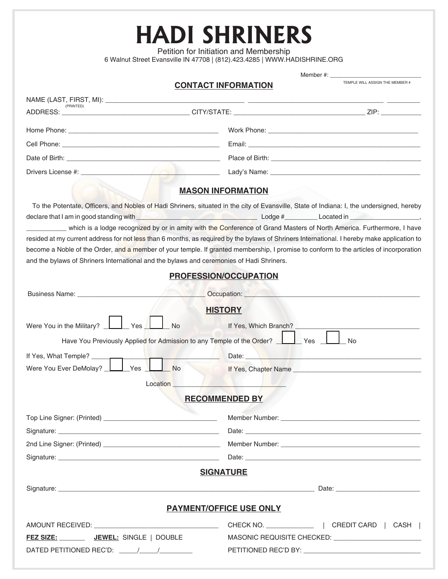**HADI SHRINERS** Petition for Initiation and Membership

6 Walnut Street Evansville IN 47708 | (812).423.4285 | WWW.HADISHRINE.ORG

|                                                                                                                                                                                                                                      | 6 Wainut Street Evansville IN 47708   (812).423.4285   WWW.HADISHRINE.ORG                                                                                                                                                      |                                                                                                                                                                                                                                |
|--------------------------------------------------------------------------------------------------------------------------------------------------------------------------------------------------------------------------------------|--------------------------------------------------------------------------------------------------------------------------------------------------------------------------------------------------------------------------------|--------------------------------------------------------------------------------------------------------------------------------------------------------------------------------------------------------------------------------|
|                                                                                                                                                                                                                                      | <b>CONTACT INFORMATION</b>                                                                                                                                                                                                     | TEMPLE WILL ASSIGN THE MEMBER #                                                                                                                                                                                                |
|                                                                                                                                                                                                                                      |                                                                                                                                                                                                                                |                                                                                                                                                                                                                                |
|                                                                                                                                                                                                                                      |                                                                                                                                                                                                                                |                                                                                                                                                                                                                                |
|                                                                                                                                                                                                                                      |                                                                                                                                                                                                                                |                                                                                                                                                                                                                                |
|                                                                                                                                                                                                                                      |                                                                                                                                                                                                                                |                                                                                                                                                                                                                                |
|                                                                                                                                                                                                                                      |                                                                                                                                                                                                                                |                                                                                                                                                                                                                                |
|                                                                                                                                                                                                                                      |                                                                                                                                                                                                                                |                                                                                                                                                                                                                                |
|                                                                                                                                                                                                                                      |                                                                                                                                                                                                                                |                                                                                                                                                                                                                                |
|                                                                                                                                                                                                                                      | <b>MASON INFORMATION</b>                                                                                                                                                                                                       |                                                                                                                                                                                                                                |
| To the Potentate, Officers, and Nobles of Hadi Shriners, situated in the city of Evansville, State of Indiana: I, the undersigned, hereby                                                                                            |                                                                                                                                                                                                                                |                                                                                                                                                                                                                                |
| declare that I am in good standing with <b>the contract of the contract of the contract of the contract of the contract of the contract of the contract of the contract of the contract of the contract of the contract of the c</b> |                                                                                                                                                                                                                                |                                                                                                                                                                                                                                |
| which is a lodge recognized by or in amity with the Conference of Grand Masters of North America. Furthermore, I have                                                                                                                |                                                                                                                                                                                                                                |                                                                                                                                                                                                                                |
| resided at my current address for not less than 6 months, as required by the bylaws of Shriners International. I hereby make application to                                                                                          |                                                                                                                                                                                                                                |                                                                                                                                                                                                                                |
| become a Noble of the Order, and a member of your temple. If granted membership, I promise to conform to the articles of incorporation                                                                                               |                                                                                                                                                                                                                                |                                                                                                                                                                                                                                |
| and the bylaws of Shriners International and the bylaws and ceremonies of Hadi Shriners.                                                                                                                                             |                                                                                                                                                                                                                                |                                                                                                                                                                                                                                |
|                                                                                                                                                                                                                                      | PROFESSION/OCCUPATION                                                                                                                                                                                                          |                                                                                                                                                                                                                                |
|                                                                                                                                                                                                                                      | Occupation: New York Products and Products and Products and Products and Products and Products and Products and Products and Products and Products and Products and Products and Products and Products and Products and Produc |                                                                                                                                                                                                                                |
|                                                                                                                                                                                                                                      | <b>HISTORY</b>                                                                                                                                                                                                                 |                                                                                                                                                                                                                                |
| Were You in the Military?<br>Yes<br>l No                                                                                                                                                                                             | If Yes, Which Branch? _                                                                                                                                                                                                        |                                                                                                                                                                                                                                |
|                                                                                                                                                                                                                                      |                                                                                                                                                                                                                                |                                                                                                                                                                                                                                |
| Have You Previously Applied for Admission to any Temple of the Order?                                                                                                                                                                | l Yes                                                                                                                                                                                                                          | No                                                                                                                                                                                                                             |
| and the property of the                                                                                                                                                                                                              |                                                                                                                                                                                                                                | Date: New York State of the Contract of the Contract of the Contract of the Contract of the Contract of the Contract of the Contract of the Contract of the Contract of the Contract of the Contract of the Contract of the Co |
| Were You Ever DeMolay?   Yes<br><b>No</b>                                                                                                                                                                                            |                                                                                                                                                                                                                                |                                                                                                                                                                                                                                |
| Location                                                                                                                                                                                                                             |                                                                                                                                                                                                                                |                                                                                                                                                                                                                                |
|                                                                                                                                                                                                                                      | <b>RECOMMENDED BY</b>                                                                                                                                                                                                          |                                                                                                                                                                                                                                |
|                                                                                                                                                                                                                                      |                                                                                                                                                                                                                                |                                                                                                                                                                                                                                |
|                                                                                                                                                                                                                                      |                                                                                                                                                                                                                                |                                                                                                                                                                                                                                |
|                                                                                                                                                                                                                                      |                                                                                                                                                                                                                                |                                                                                                                                                                                                                                |
|                                                                                                                                                                                                                                      |                                                                                                                                                                                                                                |                                                                                                                                                                                                                                |
|                                                                                                                                                                                                                                      | <b>SIGNATURE</b>                                                                                                                                                                                                               |                                                                                                                                                                                                                                |
|                                                                                                                                                                                                                                      |                                                                                                                                                                                                                                |                                                                                                                                                                                                                                |
|                                                                                                                                                                                                                                      | <b>PAYMENT/OFFICE USE ONLY</b>                                                                                                                                                                                                 |                                                                                                                                                                                                                                |
|                                                                                                                                                                                                                                      |                                                                                                                                                                                                                                |                                                                                                                                                                                                                                |
| FEZ SIZE: JEWEL: SINGLE   DOUBLE                                                                                                                                                                                                     |                                                                                                                                                                                                                                |                                                                                                                                                                                                                                |
|                                                                                                                                                                                                                                      |                                                                                                                                                                                                                                |                                                                                                                                                                                                                                |
|                                                                                                                                                                                                                                      |                                                                                                                                                                                                                                |                                                                                                                                                                                                                                |